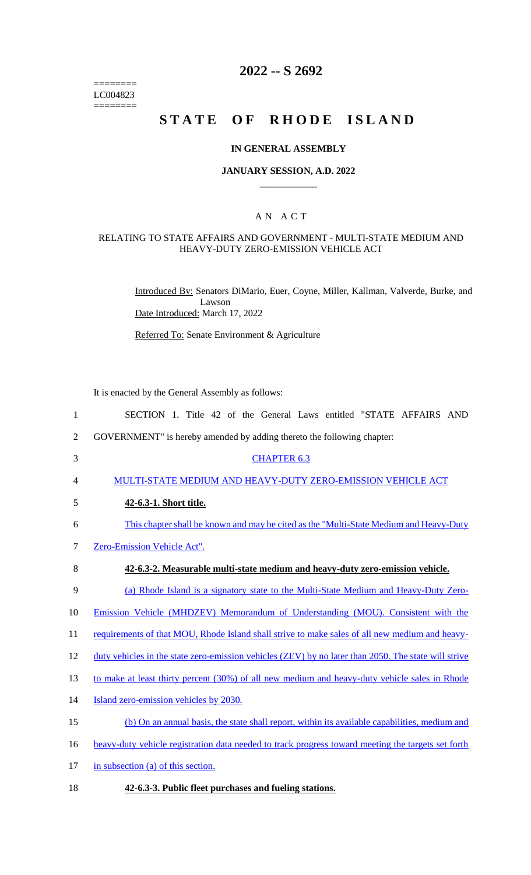======== LC004823  $=$ 

# **2022 -- S 2692**

# **STATE OF RHODE ISLAND**

### **IN GENERAL ASSEMBLY**

### **JANUARY SESSION, A.D. 2022 \_\_\_\_\_\_\_\_\_\_\_\_**

### A N A C T

### RELATING TO STATE AFFAIRS AND GOVERNMENT - MULTI-STATE MEDIUM AND HEAVY-DUTY ZERO-EMISSION VEHICLE ACT

Introduced By: Senators DiMario, Euer, Coyne, Miller, Kallman, Valverde, Burke, and Lawson Date Introduced: March 17, 2022

Referred To: Senate Environment & Agriculture

It is enacted by the General Assembly as follows:

| $\mathbf{1}$   | SECTION 1. Title 42 of the General Laws entitled "STATE AFFAIRS AND                                  |
|----------------|------------------------------------------------------------------------------------------------------|
| $\overline{2}$ | GOVERNMENT" is hereby amended by adding thereto the following chapter:                               |
| 3              | <b>CHAPTER 6.3</b>                                                                                   |
| $\overline{4}$ | MULTI-STATE MEDIUM AND HEAVY-DUTY ZERO-EMISSION VEHICLE ACT                                          |
| 5              | 42-6.3-1. Short title.                                                                               |
| 6              | This chapter shall be known and may be cited as the "Multi-State Medium and Heavy-Duty"              |
| 7              | Zero-Emission Vehicle Act".                                                                          |
| 8              | 42-6.3-2. Measurable multi-state medium and heavy-duty zero-emission vehicle.                        |
| 9              | (a) Rhode Island is a signatory state to the Multi-State Medium and Heavy-Duty Zero-                 |
| 10             | Emission Vehicle (MHDZEV) Memorandum of Understanding (MOU). Consistent with the                     |
| 11             | requirements of that MOU, Rhode Island shall strive to make sales of all new medium and heavy-       |
| 12             | duty vehicles in the state zero-emission vehicles (ZEV) by no later than 2050. The state will strive |
| 13             | to make at least thirty percent (30%) of all new medium and heavy-duty vehicle sales in Rhode        |
| 14             | Island zero-emission vehicles by 2030.                                                               |
| 15             | (b) On an annual basis, the state shall report, within its available capabilities, medium and        |
| 16             | heavy-duty vehicle registration data needed to track progress toward meeting the targets set forth   |
| 17             | in subsection (a) of this section.                                                                   |
|                |                                                                                                      |

18 **42-6.3-3. Public fleet purchases and fueling stations.**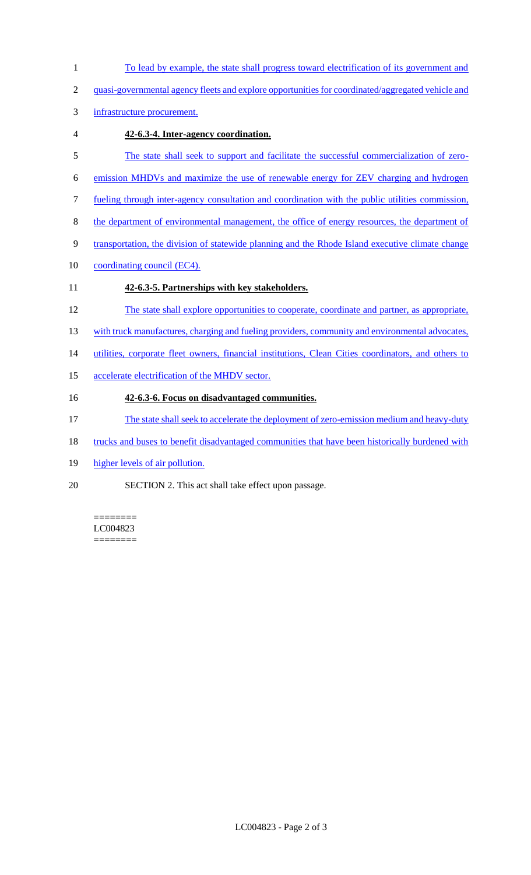- 1 To lead by example, the state shall progress toward electrification of its government and
- 2 quasi-governmental agency fleets and explore opportunities for coordinated/aggregated vehicle and
- 3 infrastructure procurement.
- 4 **42-6.3-4. Inter-agency coordination.**
- 5 The state shall seek to support and facilitate the successful commercialization of zero-
- 6 emission MHDVs and maximize the use of renewable energy for ZEV charging and hydrogen
- 7 fueling through inter-agency consultation and coordination with the public utilities commission,
- 8 the department of environmental management, the office of energy resources, the department of
- 9 transportation, the division of statewide planning and the Rhode Island executive climate change
- 10 coordinating council (EC4).
- 11 **42-6.3-5. Partnerships with key stakeholders.**
- 12 The state shall explore opportunities to cooperate, coordinate and partner, as appropriate,
- 13 with truck manufactures, charging and fueling providers, community and environmental advocates,
- 14 utilities, corporate fleet owners, financial institutions, Clean Cities coordinators, and others to
- 15 accelerate electrification of the MHDV sector.

# 16 **42-6.3-6. Focus on disadvantaged communities.**

- 17 The state shall seek to accelerate the deployment of zero-emission medium and heavy-duty
- 18 trucks and buses to benefit disadvantaged communities that have been historically burdened with
- 19 higher levels of air pollution.
- 20 SECTION 2. This act shall take effect upon passage.

======== LC004823 ========